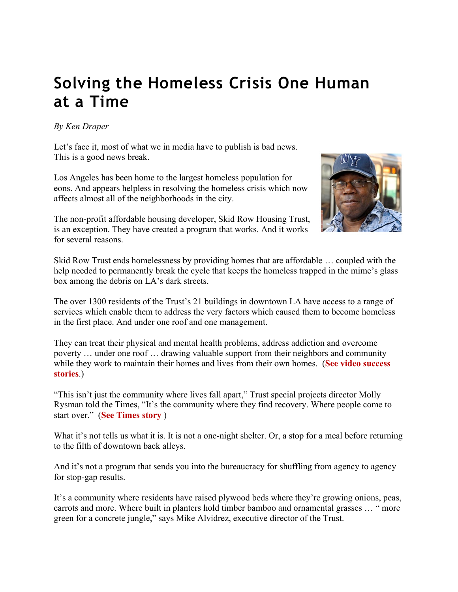## **Solving the Homeless Crisis One Human at a Time**

## *By Ken Draper*

Let's face it, most of what we in media have to publish is bad news. This is a good news break.

Los Angeles has been home to the largest homeless population for eons. And appears helpless in resolving the homeless crisis which now affects almost all of the neighborhoods in the city.

The non-profit affordable housing developer, Skid Row Housing Trust, is an exception. They have created a program that works. And it works for several reasons.



Skid Row Trust ends homelessness by providing homes that are affordable … coupled with the help needed to permanently break the cycle that keeps the homeless trapped in the mime's glass box among the debris on LA's dark streets.

The over 1300 residents of the Trust's 21 buildings in downtown LA have access to a range of services which enable them to address the very factors which caused them to become homeless in the first place. And under one roof and one management.

They can treat their physical and mental health problems, address addiction and overcome poverty … under one roof … drawing valuable support from their neighbors and community while they work to maintain their homes and lives from their own homes. (**See video success stories**.)

"This isn't just the community where lives fall apart," Trust special projects director Molly Rysman told the Times, "It's the community where they find recovery. Where people come to start over." (**See Times story** )

What it's not tells us what it is. It is not a one-night shelter. Or, a stop for a meal before returning to the filth of downtown back alleys.

And it's not a program that sends you into the bureaucracy for shuffling from agency to agency for stop-gap results.

It's a community where residents have raised plywood beds where they're growing onions, peas, carrots and more. Where built in planters hold timber bamboo and ornamental grasses … " more green for a concrete jungle," says Mike Alvidrez, executive director of the Trust.